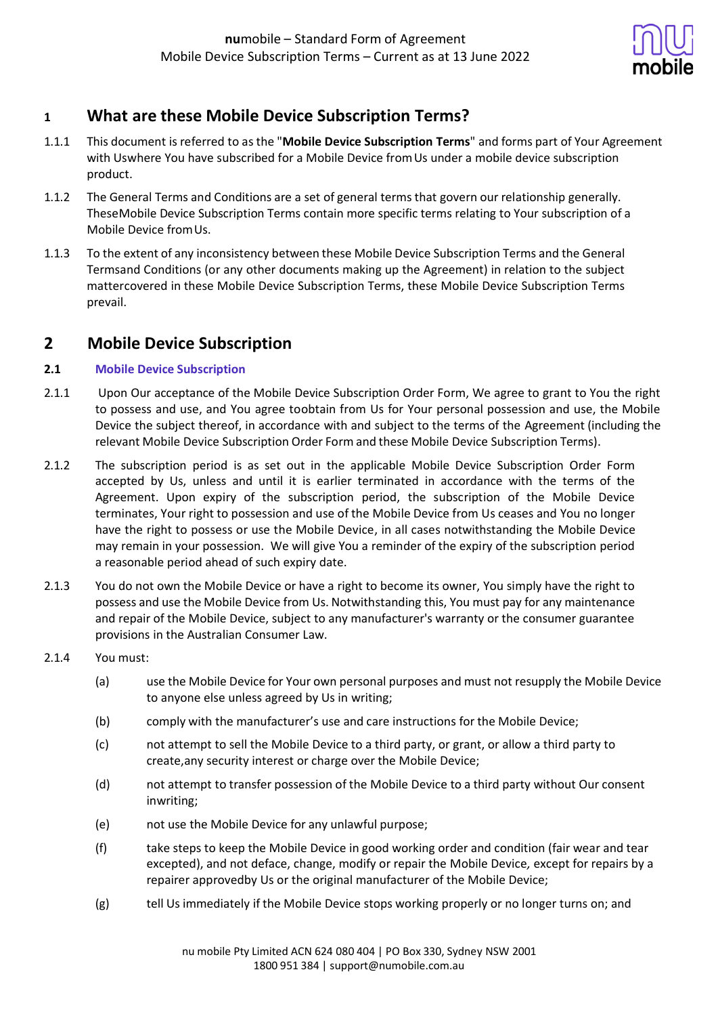

# **1 What are these Mobile Device Subscription Terms?**

- 1.1.1 This document is referred to as the "**Mobile Device Subscription Terms**" and forms part of Your Agreement with Uswhere You have subscribed for a Mobile Device fromUs under a mobile device subscription product.
- 1.1.2 The General Terms and Conditions are a set of general terms that govern our relationship generally. TheseMobile Device Subscription Terms contain more specific terms relating to Your subscription of a Mobile Device fromUs.
- 1.1.3 To the extent of any inconsistency between these Mobile Device Subscription Terms and the General Termsand Conditions (or any other documents making up the Agreement) in relation to the subject mattercovered in these Mobile Device Subscription Terms, these Mobile Device Subscription Terms prevail.

# **2 Mobile Device Subscription**

## **2.1 Mobile Device Subscription**

- 2.1.1 Upon Our acceptance of the Mobile Device Subscription Order Form, We agree to grant to You the right to possess and use, and You agree toobtain from Us for Your personal possession and use, the Mobile Device the subject thereof, in accordance with and subject to the terms of the Agreement (including the relevant Mobile Device Subscription Order Form and these Mobile Device Subscription Terms).
- 2.1.2 The subscription period is as set out in the applicable Mobile Device Subscription Order Form accepted by Us, unless and until it is earlier terminated in accordance with the terms of the Agreement. Upon expiry of the subscription period, the subscription of the Mobile Device terminates, Your right to possession and use of the Mobile Device from Us ceases and You no longer have the right to possess or use the Mobile Device, in all cases notwithstanding the Mobile Device may remain in your possession. We will give You a reminder of the expiry of the subscription period a reasonable period ahead of such expiry date.
- 2.1.3 You do not own the Mobile Device or have a right to become its owner, You simply have the right to possess and use the Mobile Device from Us. Notwithstanding this, You must pay for any maintenance and repair of the Mobile Device, subject to any manufacturer's warranty or the consumer guarantee provisions in the Australian Consumer Law.
- 2.1.4 You must:
	- (a) use the Mobile Device for Your own personal purposes and must not resupply the Mobile Device to anyone else unless agreed by Us in writing;
	- (b) comply with the manufacturer's use and care instructions for the Mobile Device;
	- (c) not attempt to sell the Mobile Device to a third party, or grant, or allow a third party to create,any security interest or charge over the Mobile Device;
	- (d) not attempt to transfer possession of the Mobile Device to a third party without Our consent inwriting;
	- (e) not use the Mobile Device for any unlawful purpose;
	- (f) take steps to keep the Mobile Device in good working order and condition (fair wear and tear excepted), and not deface, change, modify or repair the Mobile Device*,* except for repairs by a repairer approvedby Us or the original manufacturer of the Mobile Device;
	- (g) tell Us immediately if the Mobile Device stops working properly or no longer turns on; and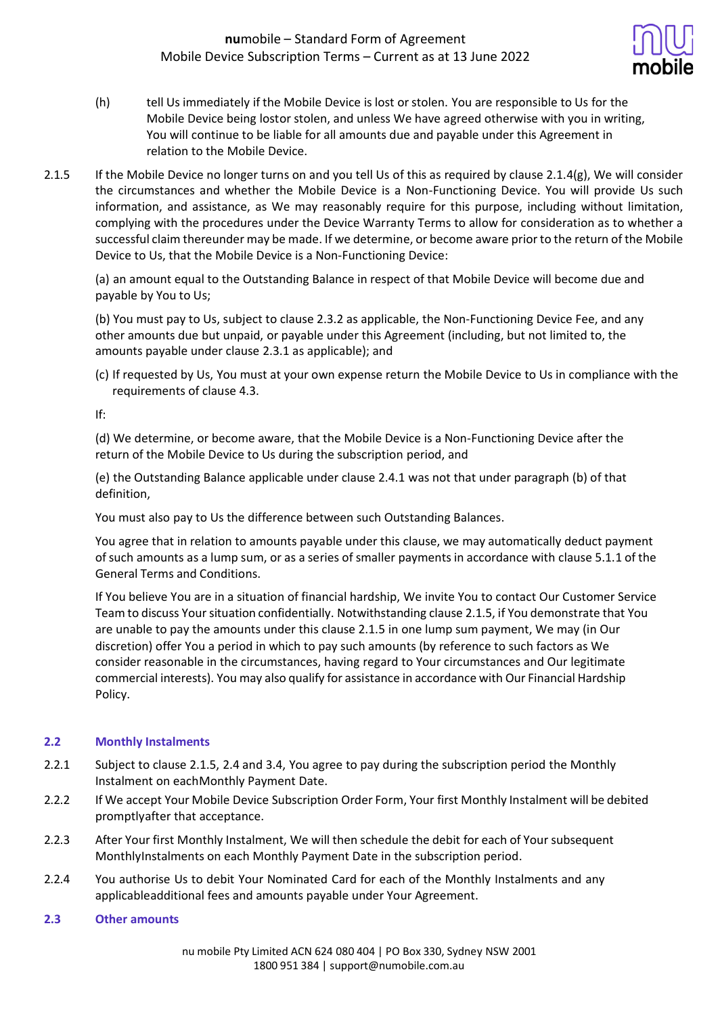

- (h) tell Us immediately if the Mobile Device is lost or stolen. You are responsible to Us for the Mobile Device being lostor stolen, and unless We have agreed otherwise with you in writing, You will continue to be liable for all amounts due and payable under this Agreement in relation to the Mobile Device.
- 2.1.5 If the Mobile Device no longer turns on and you tell Us of this as required by clause 2.1.4(g), We will consider the circumstances and whether the Mobile Device is a Non-Functioning Device. You will provide Us such information, and assistance, as We may reasonably require for this purpose, including without limitation, complying with the procedures under the Device Warranty Terms to allow for consideration as to whether a successful claim thereunder may be made. If we determine, or become aware prior to the return of the Mobile Device to Us, that the Mobile Device is a Non-Functioning Device:

(a) an amount equal to the Outstanding Balance in respect of that Mobile Device will become due and payable by You to Us;

(b) You must pay to Us, subject to clause 2.3.2 as applicable, the Non-Functioning Device Fee, and any other amounts due but unpaid, or payable under this Agreement (including, but not limited to, the amounts payable under clause 2.3.1 as applicable); and

(c) If requested by Us, You must at your own expense return the Mobile Device to Us in compliance with the requirements of clause 4.3.

If:

(d) We determine, or become aware, that the Mobile Device is a Non-Functioning Device after the return of the Mobile Device to Us during the subscription period, and

(e) the Outstanding Balance applicable under clause 2.4.1 was not that under paragraph (b) of that definition,

You must also pay to Us the difference between such Outstanding Balances.

You agree that in relation to amounts payable under this clause, we may automatically deduct payment of such amounts as a lump sum, or as a series ofsmaller payments in accordance with clause 5.1.1 of the General Terms and Conditions.

If You believe You are in a situation of financial hardship, We invite You to contact Our Customer Service Team to discuss Your situation confidentially. Notwithstanding clause 2.1.5, if You demonstrate that You are unable to pay the amounts under this clause 2.1.5 in one lump sum payment, We may (in Our discretion) offer You a period in which to pay such amounts (by reference to such factors as We consider reasonable in the circumstances, having regard to Your circumstances and Our legitimate commercial interests). You may also qualify for assistance in accordance with Our Financial Hardship Policy.

## **2.2 Monthly Instalments**

- 2.2.1 Subject to clause 2.1.5, 2.4 and 3.4, You agree to pay during the subscription period the Monthly Instalment on eachMonthly Payment Date.
- 2.2.2 If We accept Your Mobile Device Subscription Order Form, Your first Monthly Instalment will be debited promptlyafter that acceptance.
- 2.2.3 After Your first Monthly Instalment, We will then schedule the debit for each of Your subsequent MonthlyInstalments on each Monthly Payment Date in the subscription period.
- 2.2.4 You authorise Us to debit Your Nominated Card for each of the Monthly Instalments and any applicableadditional fees and amounts payable under Your Agreement.
- **2.3 Other amounts**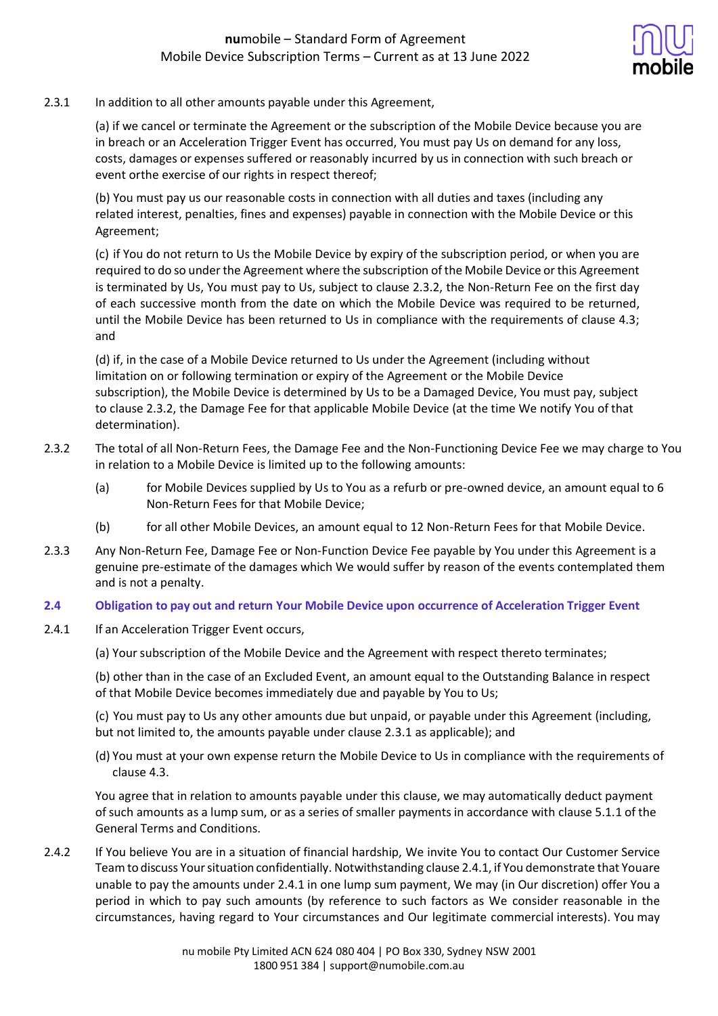

### 2.3.1 In addition to all other amounts payable under this Agreement,

(a) if we cancel or terminate the Agreement or the subscription of the Mobile Device because you are in breach or an Acceleration Trigger Event has occurred, You must pay Us on demand for any loss, costs, damages or expenses suffered or reasonably incurred by us in connection with such breach or event orthe exercise of our rights in respect thereof;

(b) You must pay us our reasonable costs in connection with all duties and taxes (including any related interest, penalties, fines and expenses) payable in connection with the Mobile Device or this Agreement;

(c) if You do not return to Us the Mobile Device by expiry of the subscription period, or when you are required to do so under the Agreement where the subscription of the Mobile Device or this Agreement is terminated by Us, You must pay to Us, subject to clause 2.3.2, the Non-Return Fee on the first day of each successive month from the date on which the Mobile Device was required to be returned, until the Mobile Device has been returned to Us in compliance with the requirements of clause 4.3; and

(d) if, in the case of a Mobile Device returned to Us under the Agreement (including without limitation on or following termination or expiry of the Agreement or the Mobile Device subscription), the Mobile Device is determined by Us to be a Damaged Device, You must pay, subject to clause 2.3.2, the Damage Fee for that applicable Mobile Device (at the time We notify You of that determination).

- 2.3.2 The total of all Non-Return Fees, the Damage Fee and the Non-Functioning Device Fee we may charge to You in relation to a Mobile Device is limited up to the following amounts:
	- (a) for Mobile Devices supplied by Us to You as a refurb or pre-owned device, an amount equal to 6 Non-Return Fees for that Mobile Device;
	- (b) for all other Mobile Devices, an amount equal to 12 Non-Return Fees for that Mobile Device.
- 2.3.3 Any Non-Return Fee, Damage Fee or Non-Function Device Fee payable by You under this Agreement is a genuine pre‐estimate of the damages which We would suffer by reason of the events contemplated them and is not a penalty.

### **2.4 Obligation to pay out and return Your Mobile Device upon occurrence of Acceleration Trigger Event**

- 2.4.1 If an Acceleration Trigger Event occurs,
	- (a) Your subscription of the Mobile Device and the Agreement with respect thereto terminates;

(b) other than in the case of an Excluded Event, an amount equal to the Outstanding Balance in respect of that Mobile Device becomes immediately due and payable by You to Us;

(c) You must pay to Us any other amounts due but unpaid, or payable under this Agreement (including, but not limited to, the amounts payable under clause 2.3.1 as applicable); and

(d) You must at your own expense return the Mobile Device to Us in compliance with the requirements of clause 4.3.

You agree that in relation to amounts payable under this clause, we may automatically deduct payment of such amounts as a lump sum, or as a series ofsmaller payments in accordance with clause 5.1.1 of the General Terms and Conditions.

2.4.2 If You believe You are in a situation of financial hardship, We invite You to contact Our Customer Service Teamto discuss Yoursituation confidentially. Notwithstanding clause 2.4.1, if You demonstrate that Youare unable to pay the amounts under 2.4.1 in one lump sum payment, We may (in Our discretion) offer You a period in which to pay such amounts (by reference to such factors as We consider reasonable in the circumstances, having regard to Your circumstances and Our legitimate commercial interests). You may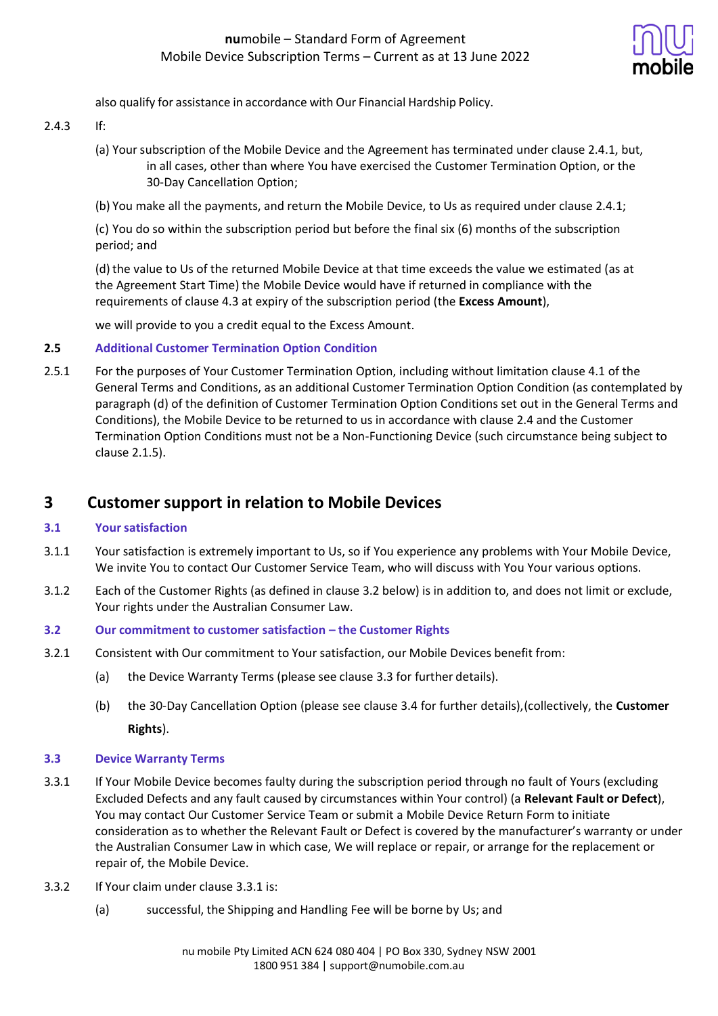

also qualify for assistance in accordance with Our Financial Hardship Policy.

- 2.4.3 If:
	- (a) Yoursubscription of the Mobile Device and the Agreement has terminated under clause 2.4.1, but, in all cases, other than where You have exercised the Customer Termination Option, or the 30-Day Cancellation Option;
	- (b) You make all the payments, and return the Mobile Device, to Us as required under clause 2.4.1;

(c) You do so within the subscription period but before the final six (6) months of the subscription period; and

(d) the value to Us of the returned Mobile Device at that time exceeds the value we estimated (as at the Agreement Start Time) the Mobile Device would have if returned in compliance with the requirements of clause 4.3 at expiry of the subscription period (the **Excess Amount**),

we will provide to you a credit equal to the Excess Amount.

### **2.5 Additional Customer Termination Option Condition**

2.5.1 For the purposes of Your Customer Termination Option, including without limitation clause 4.1 of the General Terms and Conditions, as an additional Customer Termination Option Condition (as contemplated by paragraph (d) of the definition of Customer Termination Option Conditions set out in the General Terms and Conditions), the Mobile Device to be returned to us in accordance with clause 2.4 and the Customer Termination Option Conditions must not be a Non-Functioning Device (such circumstance being subject to clause 2.1.5).

# **3 Customer support in relation to Mobile Devices**

### **3.1 Yoursatisfaction**

- 3.1.1 Your satisfaction is extremely important to Us, so if You experience any problems with Your Mobile Device, We invite You to contact Our Customer Service Team, who will discuss with You Your various options.
- 3.1.2 Each of the Customer Rights (as defined in clause 3.2 below) is in addition to, and does not limit or exclude, Your rights under the Australian Consumer Law.
- **3.2 Our commitment to customer satisfaction – the Customer Rights**
- 3.2.1 Consistent with Our commitment to Your satisfaction, our Mobile Devices benefit from:
	- (a) the Device Warranty Terms (please see clause 3.3 for further details).
	- (b) the 30-Day Cancellation Option (please see clause 3.4 for further details),(collectively, the **Customer Rights**).

### **3.3 Device Warranty Terms**

- 3.3.1 If Your Mobile Device becomes faulty during the subscription period through no fault of Yours (excluding Excluded Defects and any fault caused by circumstances within Your control) (a **Relevant Fault or Defect**), You may contact Our Customer Service Team or submit a Mobile Device Return Form to initiate consideration as to whether the Relevant Fault or Defect is covered by the manufacturer's warranty or under the Australian Consumer Law in which case, We will replace or repair, or arrange for the replacement or repair of, the Mobile Device.
- 3.3.2 If Your claim under clause 3.3.1 is:
	- (a) successful, the Shipping and Handling Fee will be borne by Us; and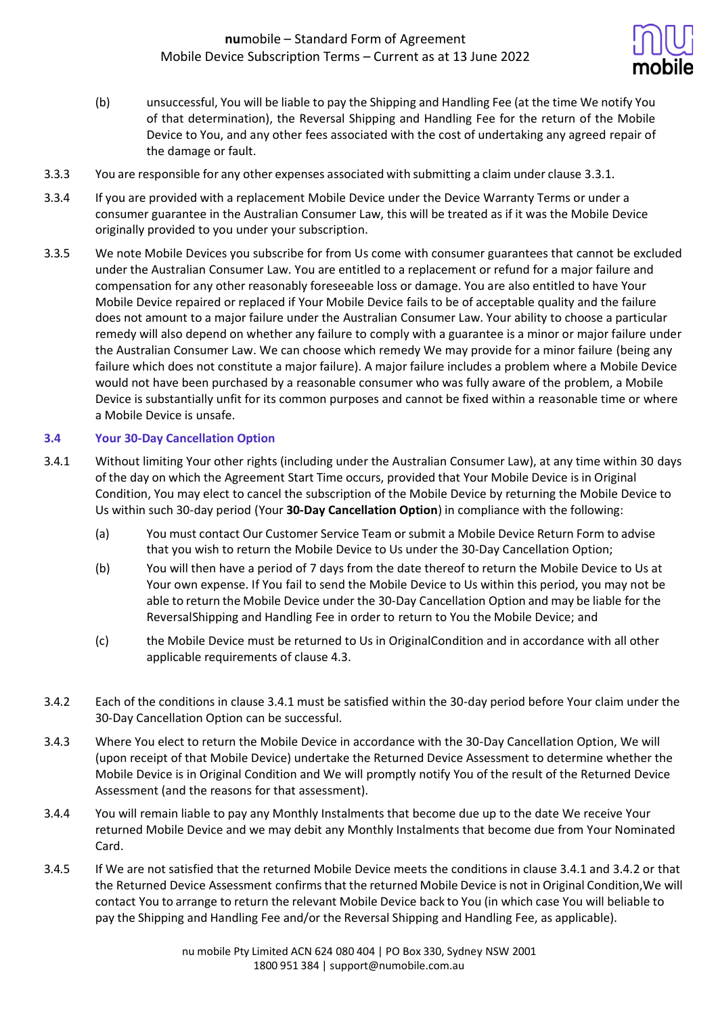

- (b) unsuccessful, You will be liable to pay the Shipping and Handling Fee (at the time We notify You of that determination), the Reversal Shipping and Handling Fee for the return of the Mobile Device to You, and any other fees associated with the cost of undertaking any agreed repair of the damage or fault.
- 3.3.3 You are responsible for any other expenses associated with submitting a claim under clause 3.3.1.
- 3.3.4 If you are provided with a replacement Mobile Device under the Device Warranty Terms or under a consumer guarantee in the Australian Consumer Law, this will be treated as if it was the Mobile Device originally provided to you under your subscription.
- 3.3.5 We note Mobile Devices you subscribe for from Us come with consumer guarantees that cannot be excluded under the Australian Consumer Law. You are entitled to a replacement or refund for a major failure and compensation for any other reasonably foreseeable loss or damage. You are also entitled to have Your Mobile Device repaired or replaced if Your Mobile Device fails to be of acceptable quality and the failure does not amount to a major failure under the Australian Consumer Law. Your ability to choose a particular remedy will also depend on whether any failure to comply with a guarantee is a minor or major failure under the Australian Consumer Law. We can choose which remedy We may provide for a minor failure (being any failure which does not constitute a major failure). A major failure includes a problem where a Mobile Device would not have been purchased by a reasonable consumer who was fully aware of the problem, a Mobile Device is substantially unfit for its common purposes and cannot be fixed within a reasonable time or where a Mobile Device is unsafe.

## **3.4 Your 30-Day Cancellation Option**

- 3.4.1 Without limiting Your other rights (including under the Australian Consumer Law), at any time within 30 days of the day on which the Agreement Start Time occurs, provided that Your Mobile Device is in Original Condition, You may elect to cancel the subscription of the Mobile Device by returning the Mobile Device to Us within such 30-day period (Your **30-Day Cancellation Option**) in compliance with the following:
	- (a) You must contact Our Customer Service Team or submit a Mobile Device Return Form to advise that you wish to return the Mobile Device to Us under the 30-Day Cancellation Option;
	- (b) You will then have a period of 7 days from the date thereof to return the Mobile Device to Us at Your own expense. If You fail to send the Mobile Device to Us within this period, you may not be able to return the Mobile Device under the 30-Day Cancellation Option and may be liable for the ReversalShipping and Handling Fee in order to return to You the Mobile Device; and
	- (c) the Mobile Device must be returned to Us in OriginalCondition and in accordance with all other applicable requirements of clause 4.3.
- 3.4.2 Each of the conditions in clause 3.4.1 must be satisfied within the 30-day period before Your claim under the 30-Day Cancellation Option can be successful.
- 3.4.3 Where You elect to return the Mobile Device in accordance with the 30-Day Cancellation Option, We will (upon receipt of that Mobile Device) undertake the Returned Device Assessment to determine whether the Mobile Device is in Original Condition and We will promptly notify You of the result of the Returned Device Assessment (and the reasons for that assessment).
- 3.4.4 You will remain liable to pay any Monthly Instalments that become due up to the date We receive Your returned Mobile Device and we may debit any Monthly Instalments that become due from Your Nominated Card.
- 3.4.5 If We are not satisfied that the returned Mobile Device meets the conditions in clause 3.4.1 and 3.4.2 or that the Returned Device Assessment confirms that the returned Mobile Device is not in Original Condition, We will contact You to arrange to return the relevant Mobile Device back to You (in which case You will beliable to pay the Shipping and Handling Fee and/or the Reversal Shipping and Handling Fee, as applicable).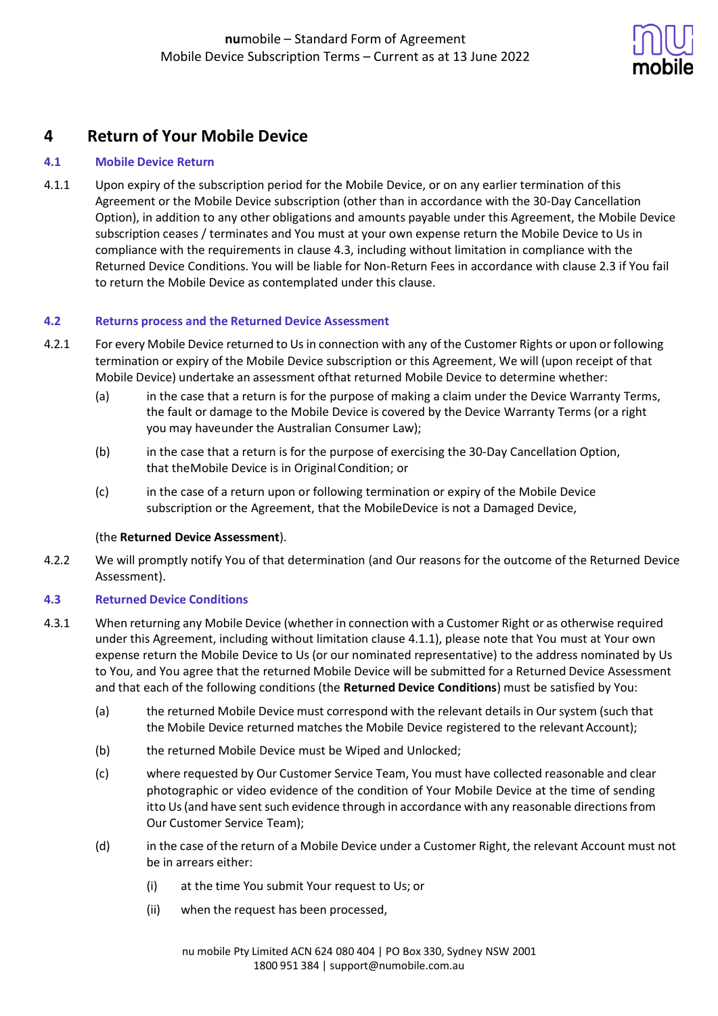

# **4 Return of Your Mobile Device**

## **4.1 Mobile Device Return**

4.1.1 Upon expiry of the subscription period for the Mobile Device, or on any earlier termination of this Agreement or the Mobile Device subscription (other than in accordance with the 30-Day Cancellation Option), in addition to any other obligations and amounts payable under this Agreement, the Mobile Device subscription ceases / terminates and You must at your own expense return the Mobile Device to Us in compliance with the requirements in clause 4.3, including without limitation in compliance with the Returned Device Conditions. You will be liable for Non-Return Fees in accordance with clause 2.3 if You fail to return the Mobile Device as contemplated under this clause.

### **4.2 Returns process and the Returned Device Assessment**

- 4.2.1 For every Mobile Device returned to Us in connection with any of the Customer Rights or upon or following termination or expiry of the Mobile Device subscription or this Agreement, We will (upon receipt of that Mobile Device) undertake an assessment ofthat returned Mobile Device to determine whether:
	- (a) in the case that a return is for the purpose of making a claim under the Device Warranty Terms, the fault or damage to the Mobile Device is covered by the Device Warranty Terms (or a right you may haveunder the Australian Consumer Law);
	- (b) in the case that a return is for the purpose of exercising the 30-Day Cancellation Option, that theMobile Device is in Original Condition; or
	- (c) in the case of a return upon or following termination or expiry of the Mobile Device subscription or the Agreement, that the MobileDevice is not a Damaged Device,

### (the **Returned Device Assessment**).

4.2.2 We will promptly notify You of that determination (and Our reasons for the outcome of the Returned Device Assessment).

### **4.3 Returned Device Conditions**

- 4.3.1 When returning any Mobile Device (whether in connection with a Customer Right or as otherwise required under this Agreement, including without limitation clause 4.1.1), please note that You must at Your own expense return the Mobile Device to Us (or our nominated representative) to the address nominated by Us to You, and You agree that the returned Mobile Device will be submitted for a Returned Device Assessment and that each of the following conditions (the **Returned Device Conditions**) must be satisfied by You:
	- (a) the returned Mobile Device must correspond with the relevant details in Our system (such that the Mobile Device returned matches the Mobile Device registered to the relevant Account);
	- (b) the returned Mobile Device must be Wiped and Unlocked;
	- (c) where requested by Our Customer Service Team, You must have collected reasonable and clear photographic or video evidence of the condition of Your Mobile Device at the time of sending itto Us (and have sent such evidence through in accordance with any reasonable directions from Our Customer Service Team);
	- (d) in the case of the return of a Mobile Device under a Customer Right, the relevant Account must not be in arrears either:
		- (i) at the time You submit Your request to Us; or
		- (ii) when the request has been processed,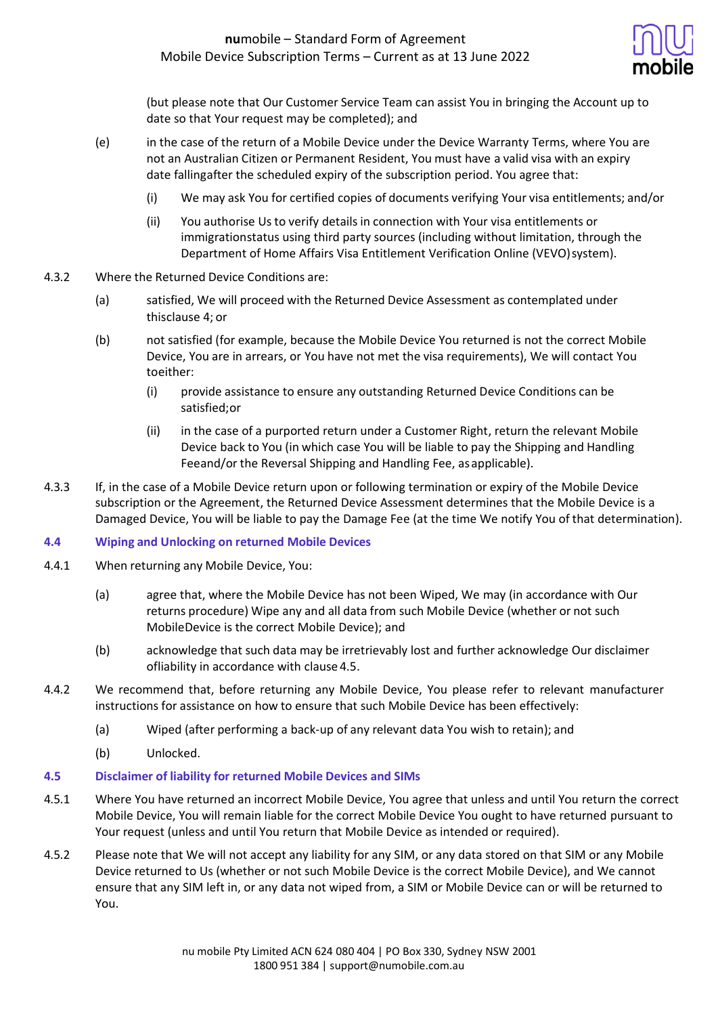

(but please note that Our Customer Service Team can assist You in bringing the Account up to date so that Your request may be completed); and

- (e) in the case of the return of a Mobile Device under the Device Warranty Terms, where You are not an Australian Citizen or Permanent Resident, You must have a valid visa with an expiry date fallingafter the scheduled expiry of the subscription period. You agree that:
	- (i) We may ask You for certified copies of documents verifying Your visa entitlements; and/or
	- (ii) You authorise Us to verify details in connection with Your visa entitlements or immigrationstatus using third party sources (including without limitation, through the Department of Home Affairs Visa Entitlement Verification Online (VEVO)system).
- 4.3.2 Where the Returned Device Conditions are:
	- (a) satisfied, We will proceed with the Returned Device Assessment as contemplated under thisclause 4; or
	- (b) not satisfied (for example, because the Mobile Device You returned is not the correct Mobile Device, You are in arrears, or You have not met the visa requirements), We will contact You toeither:
		- (i) provide assistance to ensure any outstanding Returned Device Conditions can be satisfied;or
		- (ii) in the case of a purported return under a Customer Right, return the relevant Mobile Device back to You (in which case You will be liable to pay the Shipping and Handling Feeand/or the Reversal Shipping and Handling Fee, asapplicable).
- 4.3.3 If, in the case of a Mobile Device return upon or following termination or expiry of the Mobile Device subscription or the Agreement, the Returned Device Assessment determines that the Mobile Device is a Damaged Device, You will be liable to pay the Damage Fee (at the time We notify You of that determination).

### **4.4 Wiping and Unlocking on returned Mobile Devices**

- 4.4.1 When returning any Mobile Device, You:
	- (a) agree that, where the Mobile Device has not been Wiped, We may (in accordance with Our returns procedure) Wipe any and all data from such Mobile Device (whether or not such MobileDevice is the correct Mobile Device); and
	- (b) acknowledge that such data may be irretrievably lost and further acknowledge Our disclaimer ofliability in accordance with clause 4.5.
- 4.4.2 We recommend that, before returning any Mobile Device, You please refer to relevant manufacturer instructions for assistance on how to ensure that such Mobile Device has been effectively:
	- (a) Wiped (after performing a back-up of any relevant data You wish to retain); and
	- (b) Unlocked.

#### **4.5 Disclaimer of liability for returned Mobile Devices and SIMs**

- 4.5.1 Where You have returned an incorrect Mobile Device, You agree that unless and until You return the correct Mobile Device, You will remain liable for the correct Mobile Device You ought to have returned pursuant to Your request (unless and until You return that Mobile Device as intended or required).
- 4.5.2 Please note that We will not accept any liability for any SIM, or any data stored on that SIM or any Mobile Device returned to Us (whether or not such Mobile Device is the correct Mobile Device), and We cannot ensure that any SIM left in, or any data not wiped from, a SIM or Mobile Device can or will be returned to You.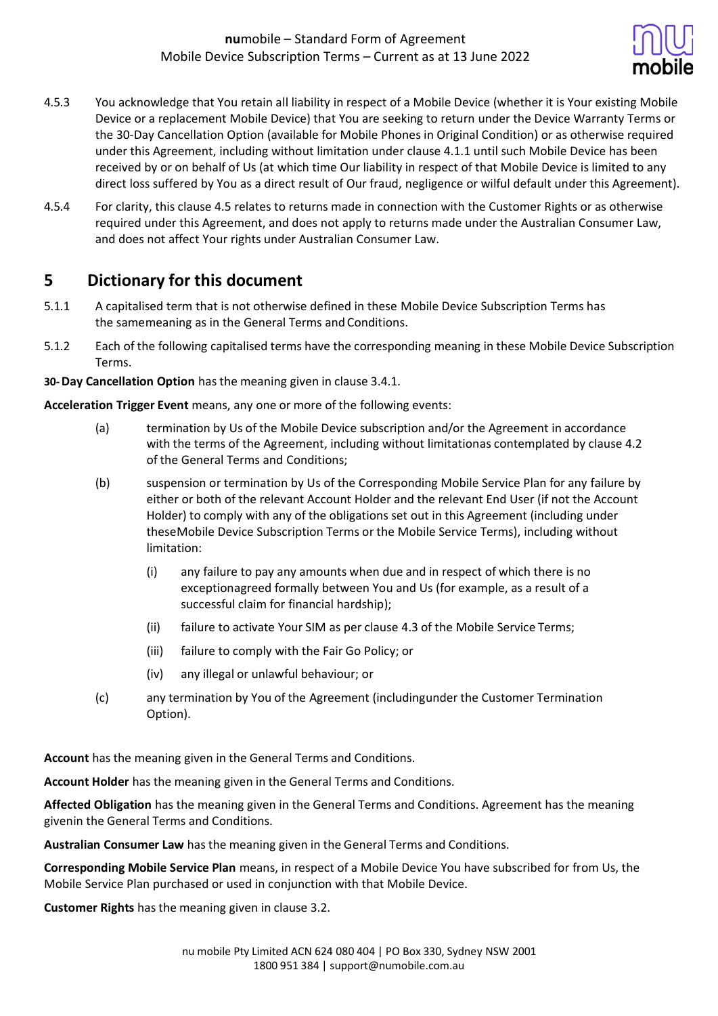

- 4.5.3 You acknowledge that You retain all liability in respect of a Mobile Device (whether it is Your existing Mobile Device or a replacement Mobile Device) that You are seeking to return under the Device Warranty Terms or the 30-Day Cancellation Option (available for Mobile Phones in Original Condition) or as otherwise required under this Agreement, including without limitation under clause 4.1.1 until such Mobile Device has been received by or on behalf of Us (at which time Our liability in respect of that Mobile Device is limited to any direct loss suffered by You as a direct result of Our fraud, negligence or wilful default under this Agreement).
- 4.5.4 For clarity, this clause 4.5 relates to returns made in connection with the Customer Rights or as otherwise required under this Agreement, and does not apply to returns made under the Australian Consumer Law, and does not affect Your rights under Australian Consumer Law.

# **5 Dictionary for this document**

- 5.1.1 A capitalised term that is not otherwise defined in these Mobile Device Subscription Terms has the samemeaning as in the General Terms and Conditions.
- 5.1.2 Each of the following capitalised terms have the corresponding meaning in these Mobile Device Subscription Terms.
- **30-Day Cancellation Option** has the meaning given in clause 3.4.1.

**Acceleration Trigger Event** means, any one or more of the following events:

- (a) termination by Us of the Mobile Device subscription and/or the Agreement in accordance with the terms of the Agreement, including without limitationas contemplated by clause 4.2 of the General Terms and Conditions;
- (b) suspension or termination by Us of the Corresponding Mobile Service Plan for any failure by either or both of the relevant Account Holder and the relevant End User (if not the Account Holder) to comply with any of the obligations set out in this Agreement (including under theseMobile Device Subscription Terms or the Mobile Service Terms), including without limitation:
	- (i) any failure to pay any amounts when due and in respect of which there is no exceptionagreed formally between You and Us (for example, as a result of a successful claim for financial hardship);
	- (ii) failure to activate Your SIM as per clause 4.3 of the Mobile Service Terms;
	- (iii) failure to comply with the Fair Go Policy; or
	- (iv) any illegal or unlawful behaviour; or
- (c) any termination by You of the Agreement (includingunder the Customer Termination Option).

**Account** has the meaning given in the General Terms and Conditions.

**Account Holder** has the meaning given in the General Terms and Conditions.

**Affected Obligation** has the meaning given in the General Terms and Conditions. Agreement has the meaning givenin the General Terms and Conditions.

**Australian Consumer Law** has the meaning given in the General Terms and Conditions.

**Corresponding Mobile Service Plan** means, in respect of a Mobile Device You have subscribed for from Us, the Mobile Service Plan purchased or used in conjunction with that Mobile Device.

**Customer Rights** has the meaning given in clause 3.2.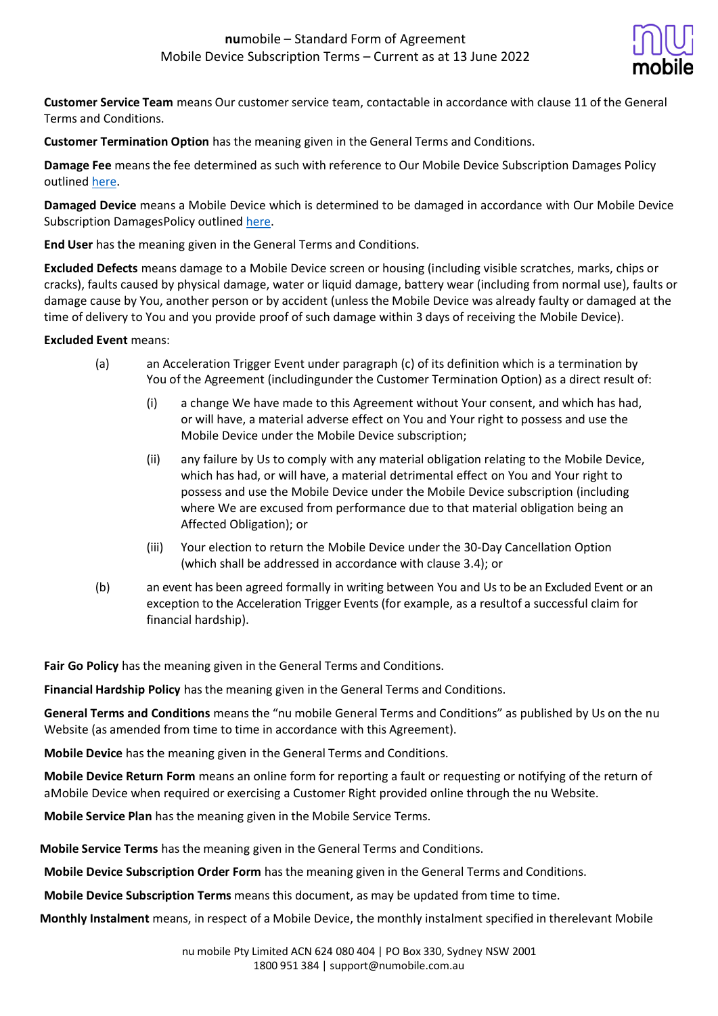

**Customer Service Team** means Our customer service team, contactable in accordance with clause 11 of the General Terms and Conditions.

**Customer Termination Option** has the meaning given in the General Terms and Conditions.

**Damage Fee** means the fee determined as such with reference to Our Mobile Device Subscription Damages Policy outlined [here.](https://www.numobile.com.au/sites/default/files/2022-06/numobiles_mobile_device_subscription_damages_policy_june_2022.pdf)

**Damaged Device** means a Mobile Device which is determined to be damaged in accordance with Our Mobile Device Subscription DamagesPolicy outlined [here.](https://www.numobile.com.au/sites/default/files/2022-06/numobiles_mobile_device_subscription_damages_policy_june_2022.pdf)

**End User** has the meaning given in the General Terms and Conditions.

**Excluded Defects** means damage to a Mobile Device screen or housing (including visible scratches, marks, chips or cracks), faults caused by physical damage, water or liquid damage, battery wear (including from normal use), faults or damage cause by You, another person or by accident (unless the Mobile Device was already faulty or damaged at the time of delivery to You and you provide proof of such damage within 3 days of receiving the Mobile Device).

### **Excluded Event** means:

- (a) an Acceleration Trigger Event under paragraph (c) of its definition which is a termination by You of the Agreement (includingunder the Customer Termination Option) as a direct result of:
	- (i) a change We have made to this Agreement without Your consent, and which has had, or will have, a material adverse effect on You and Your right to possess and use the Mobile Device under the Mobile Device subscription;
	- (ii) any failure by Us to comply with any material obligation relating to the Mobile Device, which has had, or will have, a material detrimental effect on You and Your right to possess and use the Mobile Device under the Mobile Device subscription (including where We are excused from performance due to that material obligation being an Affected Obligation); or
	- (iii) Your election to return the Mobile Device under the 30-Day Cancellation Option (which shall be addressed in accordance with clause 3.4); or
- (b) an event has been agreed formally in writing between You and Us to be an Excluded Event or an exception to the Acceleration Trigger Events (for example, as a resultof a successful claim for financial hardship).

**Fair Go Policy** has the meaning given in the General Terms and Conditions.

**Financial Hardship Policy** has the meaning given in the General Terms and Conditions.

**General Terms and Conditions** means the "nu mobile General Terms and Conditions" as published by Us on the nu Website (as amended from time to time in accordance with this Agreement).

**Mobile Device** has the meaning given in the General Terms and Conditions.

**Mobile Device Return Form** means an online form for reporting a fault or requesting or notifying of the return of aMobile Device when required or exercising a Customer Right provided online through the nu Website.

**Mobile Service Plan** has the meaning given in the Mobile Service Terms.

**Mobile Service Terms** has the meaning given in the General Terms and Conditions.

**Mobile Device Subscription Order Form** has the meaning given in the General Terms and Conditions.

**Mobile Device Subscription Terms** means this document, as may be updated from time to time.

**Monthly Instalment** means, in respect of a Mobile Device, the monthly instalment specified in therelevant Mobile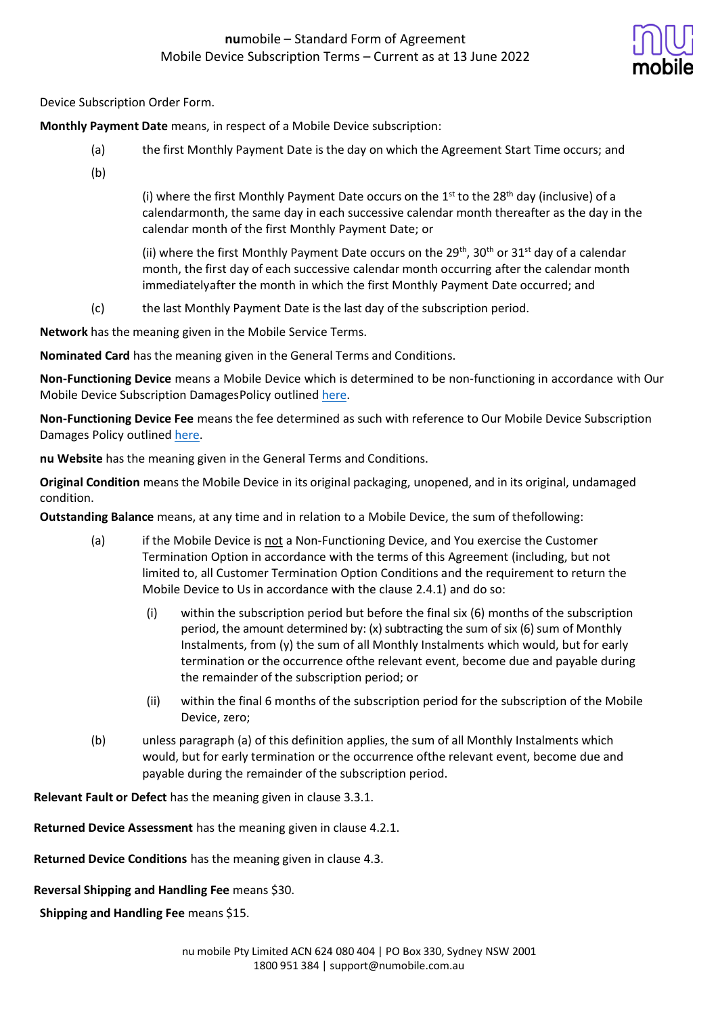

Device Subscription Order Form.

**Monthly Payment Date** means, in respect of a Mobile Device subscription:

- (a) the first Monthly Payment Date is the day on which the Agreement Start Time occurs; and
- (b)

(i) where the first Monthly Payment Date occurs on the  $1<sup>st</sup>$  to the 28<sup>th</sup> day (inclusive) of a calendarmonth, the same day in each successive calendar month thereafter as the day in the calendar month of the first Monthly Payment Date; or

(ii) where the first Monthly Payment Date occurs on the 29<sup>th</sup>, 30<sup>th</sup> or 31<sup>st</sup> day of a calendar month, the first day of each successive calendar month occurring after the calendar month immediatelyafter the month in which the first Monthly Payment Date occurred; and

(c) the last Monthly Payment Date is the last day of the subscription period.

**Network** has the meaning given in the Mobile Service Terms.

**Nominated Card** has the meaning given in the General Terms and Conditions.

**Non-Functioning Device** means a Mobile Device which is determined to be non-functioning in accordance with Our Mobile Device Subscription DamagesPolicy outlined [here.](https://www.numobile.com.au/sites/default/files/2022-06/numobiles_mobile_device_subscription_damages_policy_june_2022.pdf)

**Non-Functioning Device Fee** means the fee determined as such with reference to Our Mobile Device Subscription Damages Policy outlined [here.](https://www.numobile.com.au/sites/default/files/2022-06/numobiles_mobile_device_subscription_damages_policy_june_2022.pdf)

**nu Website** has the meaning given in the General Terms and Conditions.

**Original Condition** means the Mobile Device in its original packaging, unopened, and in its original, undamaged condition.

**Outstanding Balance** means, at any time and in relation to a Mobile Device, the sum of thefollowing:

- (a) if the Mobile Device is not a Non-Functioning Device, and You exercise the Customer Termination Option in accordance with the terms of this Agreement (including, but not limited to, all Customer Termination Option Conditions and the requirement to return the Mobile Device to Us in accordance with the clause 2.4.1) and do so:
	- (i) within the subscription period but before the final six (6) months of the subscription period, the amount determined by:  $(x)$  subtracting the sum of six  $(6)$  sum of Monthly Instalments, from (y) the sum of all Monthly Instalments which would, but for early termination or the occurrence ofthe relevant event, become due and payable during the remainder of the subscription period; or
	- (ii) within the final 6 months of the subscription period for the subscription of the Mobile Device, zero;
- (b) unless paragraph (a) of this definition applies, the sum of all Monthly Instalments which would, but for early termination or the occurrence ofthe relevant event, become due and payable during the remainder of the subscription period.

**Relevant Fault or Defect** has the meaning given in clause 3.3.1.

**Returned Device Assessment** has the meaning given in clause 4.2.1.

**Returned Device Conditions** has the meaning given in clause 4.3.

**Reversal Shipping and Handling Fee** means \$30.

**Shipping and Handling Fee** means \$15.